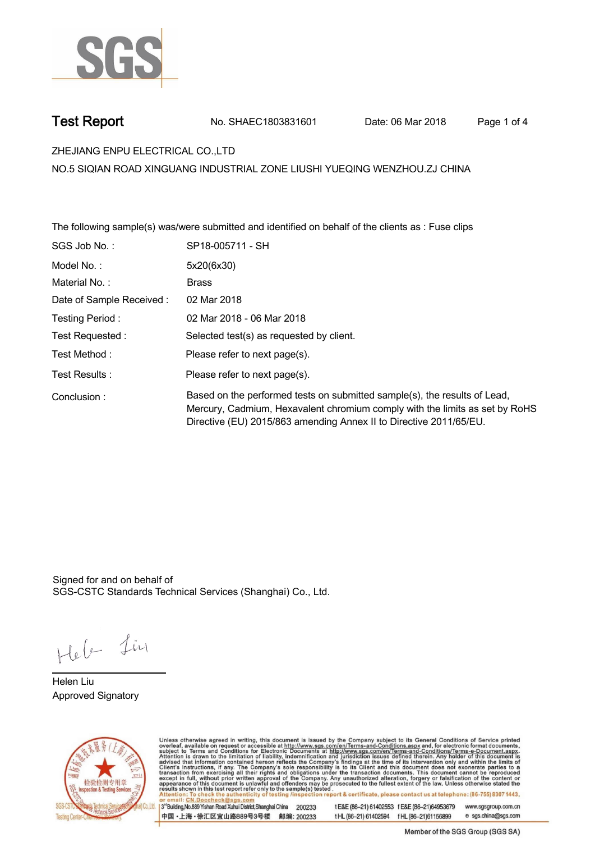

**Test Report. No. SHAEC1803831601 Date: 06 Mar 2018 . Page 1 of 4.**

**ZHEJIANG ENPU ELECTRICAL CO.,LTD .**

**NO.5 SIQIAN ROAD XINGUANG INDUSTRIAL ZONE LIUSHI YUEQING WENZHOU.ZJ CHINA**

**The following sample(s) was/were submitted and identified on behalf of the clients as : Fuse clips .**

| SGS Job No.:             | SP18-005711 - SH                                                                                                                                                                                                               |
|--------------------------|--------------------------------------------------------------------------------------------------------------------------------------------------------------------------------------------------------------------------------|
| Model No. :              | 5x20(6x30)                                                                                                                                                                                                                     |
| Material No.:            | <b>Brass</b>                                                                                                                                                                                                                   |
| Date of Sample Received: | 02 Mar 2018                                                                                                                                                                                                                    |
| Testing Period:          | 02 Mar 2018 - 06 Mar 2018                                                                                                                                                                                                      |
| Test Requested :         | Selected test(s) as requested by client.                                                                                                                                                                                       |
| Test Method :            | Please refer to next page(s).                                                                                                                                                                                                  |
| Test Results:            | Please refer to next page(s).                                                                                                                                                                                                  |
| Conclusion:              | Based on the performed tests on submitted sample(s), the results of Lead,<br>Mercury, Cadmium, Hexavalent chromium comply with the limits as set by RoHS<br>Directive (EU) 2015/863 amending Annex II to Directive 2011/65/EU. |

Signed for and on behalf of SGS-CSTC Standards Technical Services (Shanghai) Co., Ltd..

Heb Lin

**Helen Liu. Approved Signatory .**



Unless otherwise agreed in writing, this document is issued by the Company subject to its General Conditions of Service printed overleaf, available on request or accessible at http://www.sgs.com/en/Terms-and-Conditions.asp

3<sup>rd</sup>Building, No.889 Yishan Road Xuhui District, Shanghai China 200233 中国·上海·徐汇区宜山路889号3号楼 邮编: 200233

tE&E (86-21) 61402553 fE&E (86-21)64953679 www.sgsgroup.com.cn t HL (86-21) 61402594 f HL (86-21) 61156899 e sgs.china@sgs.com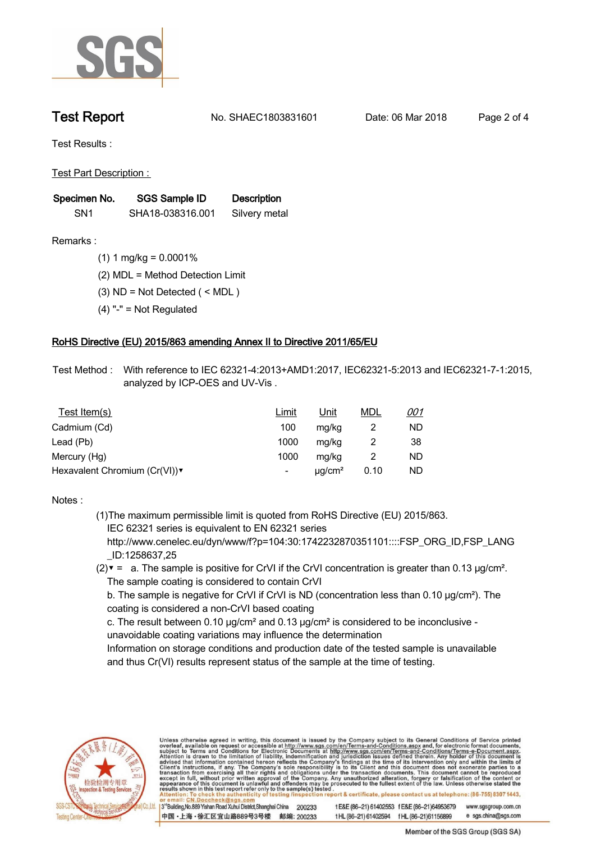

**Test Report. No. SHAEC1803831601 Date: 06 Mar 2018 . Page 2 of 4.**

**Test Results :.**

**Test Part Description : .**

| Specimen No.    | SGS Sample ID    | <b>Description</b> |  |
|-----------------|------------------|--------------------|--|
| SN <sub>1</sub> | SHA18-038316.001 | Silvery metal      |  |

- **Remarks :.(1) 1 mg/kg = 0.0001% .**
	- **(2) MDL = Method Detection Limit .**
	- **(3) ND = Not Detected ( < MDL ) .**
	- **(4) "-" = Not Regulated .**

## **RoHS Directive (EU) 2015/863 amending Annex II to Directive 2011/65/EU.**

**Test Method :. With reference to IEC 62321-4:2013+AMD1:2017, IEC62321-5:2013 and IEC62321-7-1:2015, analyzed by ICP-OES and UV-Vis . .**

| Test Item(s)                 | Limit | <u>Unit</u>             | <u>MDL</u> | <u>001</u> |
|------------------------------|-------|-------------------------|------------|------------|
| Cadmium (Cd)                 | 100   | mg/kg                   |            | ND         |
| Lead (Pb)                    | 1000  | mg/kg                   |            | 38         |
| Mercury (Hg)                 | 1000  | mg/kg                   |            | ND         |
| Hexavalent Chromium (Cr(VI)) | -     | $\mu$ g/cm <sup>2</sup> | 0.10       | ND         |

### **Notes :.**

**(1)The maximum permissible limit is quoted from RoHS Directive (EU) 2015/863. IEC 62321 series is equivalent to EN 62321 series**

 **http://www.cenelec.eu/dyn/www/f?p=104:30:1742232870351101::::FSP\_ORG\_ID,FSP\_LANG \_ID:1258637,25**

**(2)▼ = a. The sample is positive for CrVI if the CrVI concentration is greater than 0.13 μg/cm². The sample coating is considered to contain CrVI**

 **b. The sample is negative for CrVI if CrVI is ND (concentration less than 0.10 μg/cm²). The coating is considered a non-CrVI based coating**

 **c. The result between 0.10 μg/cm² and 0.13 μg/cm² is considered to be inconclusive - unavoidable coating variations may influence the determination** 

 **Information on storage conditions and production date of the tested sample is unavailable and thus Cr(VI) results represent status of the sample at the time of testing. .**



Unless otherwise agreed in writing, this document is issued by the Company subject to its General Conditions of Service printed overleaf, available on request or accessible at http://www.sgs.com/en/Terms-and-Conditions.asp ion report & certificate, please contact us at telephone: (86-755) 8307 1443, testing /ins

13<sup>rd</sup> Building, No.889 Yishan Road Xuhui District, Shanghai China 200233 中国·上海·徐汇区宜山路889号3号楼 邮编: 200233 t E&E (86-21) 61402553 f E&E (86-21)64953679 www.sgsgroup.com.cn e sgs.china@sgs.com tHL (86-21) 61402594 fHL (86-21) 61156899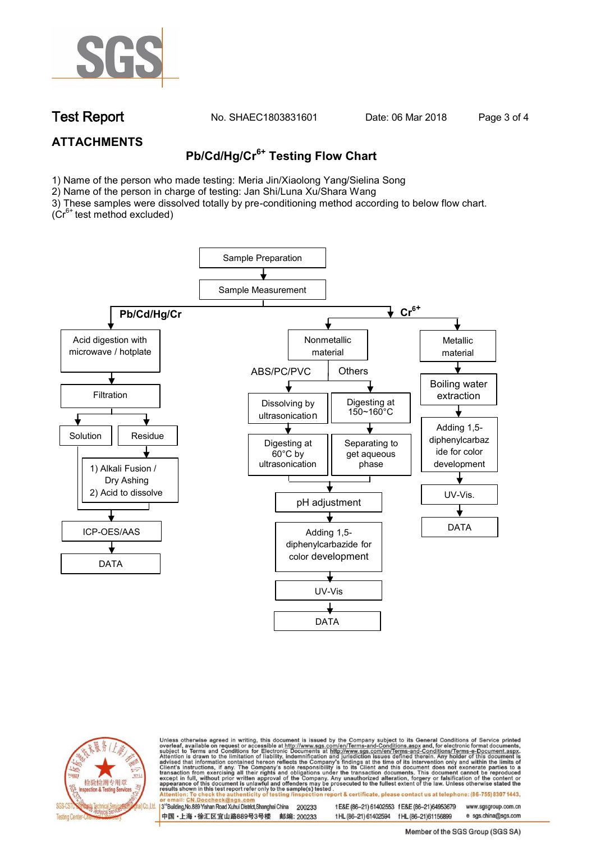

**Test Report. No. SHAEC1803831601 Date: 06 Mar 2018 . Page 3 of 4.**

# **ATTACHMENTS**

# **Pb/Cd/Hg/Cr6+ Testing Flow Chart**

1) Name of the person who made testing: Meria Jin/Xiaolong Yang/Sielina Song

2) Name of the person in charge of testing: Jan Shi/Luna Xu/Shara Wang

3) These samples were dissolved totally by pre-conditioning method according to below flow chart.

 $(Cr^{6+})$  test method excluded)





Unless otherwise agreed in writing, this document is issued by the Company subject to its General Conditions of Service printed overleaf, available on request or accessible at http://www.sgs.com/en/Terms-and-Conditions.asp ion report & certificate, please contact us at telephone: (86-755) 8307 1443, esting/ins

13<sup>rd</sup> Building, No.889 Yishan Road Xuhui District, Shanghai China 200233 中国·上海·徐汇区宜山路889号3号楼 邮编: 200233 t E&E (86-21) 61402553 f E&E (86-21)64953679 www.sgsgroup.com.cn

t HL (86-21) 61402594 f HL (86-21)61156899 e sgs.china@sgs.com